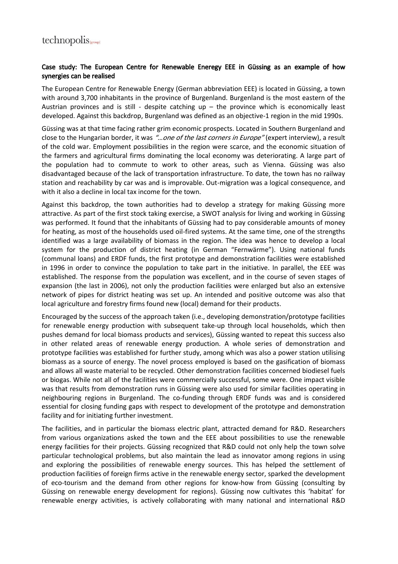## Case study: The European Centre for Renewable Eneregy EEE in Güssing as an example of how synergies can be realised

The European Centre for Renewable Energy (German abbreviation EEE) is located in Güssing, a town with around 3,700 inhabitants in the province of Burgenland. Burgenland is the most eastern of the Austrian provinces and is still - despite catching up  $-$  the province which is economically least developed. Against this backdrop, Burgenland was defined as an objective-1 region in the mid 1990s.

Güssing was at that time facing rather grim economic prospects. Located in Southern Burgenland and close to the Hungarian border, it was "...one of the last corners in Europe" (expert interview), a result of the cold war. Employment possibilities in the region were scarce, and the economic situation of the farmers and agricultural firms dominating the local economy was deteriorating. A large part of the population had to commute to work to other areas, such as Vienna. Güssing was also disadvantaged because of the lack of transportation infrastructure. To date, the town has no railway station and reachability by car was and is improvable. Out-migration was a logical consequence, and with it also a decline in local tax income for the town.

Against this backdrop, the town authorities had to develop a strategy for making Güssing more attractive. As part of the first stock taking exercise, a SWOT analysis for living and working in Güssing was performed. It found that the inhabitants of Güssing had to pay considerable amounts of money for heating, as most of the households used oil-fired systems. At the same time, one of the strengths identified was a large availability of biomass in the region. The idea was hence to develop a local system for the production of district heating (in German "Fernwärme"). Using national funds (communal loans) and ERDF funds, the first prototype and demonstration facilities were established in 1996 in order to convince the population to take part in the initiative. In parallel, the EEE was established. The response from the population was excellent, and in the course of seven stages of expansion (the last in 2006), not only the production facilities were enlarged but also an extensive network of pipes for district heating was set up. An intended and positive outcome was also that local agriculture and forestry firms found new (local) demand for their products.

Encouraged by the success of the approach taken (i.e., developing demonstration/prototype facilities for renewable energy production with subsequent take-up through local households, which then pushes demand for local biomass products and services), Güssing wanted to repeat this success also in other related areas of renewable energy production. A whole series of demonstration and prototype facilities was established for further study, among which was also a power station utilising biomass as a source of energy. The novel process employed is based on the gasification of biomass and allows all waste material to be recycled. Other demonstration facilities concerned biodiesel fuels or biogas. While not all of the facilities were commercially successful, some were. One impact visible was that results from demonstration runs in Güssing were also used for similar facilities operating in neighbouring regions in Burgenland. The co-funding through ERDF funds was and is considered essential for closing funding gaps with respect to development of the prototype and demonstration facility and for initiating further investment.

The facilities, and in particular the biomass electric plant, attracted demand for R&D. Researchers from various organizations asked the town and the EEE about possibilities to use the renewable energy facilities for their projects. Güssing recognized that R&D could not only help the town solve particular technological problems, but also maintain the lead as innovator among regions in using and exploring the possibilities of renewable energy sources. This has helped the settlement of production facilities of foreign firms active in the renewable energy sector, sparked the development of eco-tourism and the demand from other regions for know-how from Güssing (consulting by Güssing on renewable energy development for regions). Güssing now cultivates this 'habitat' for renewable energy activities, is actively collaborating with many national and international R&D